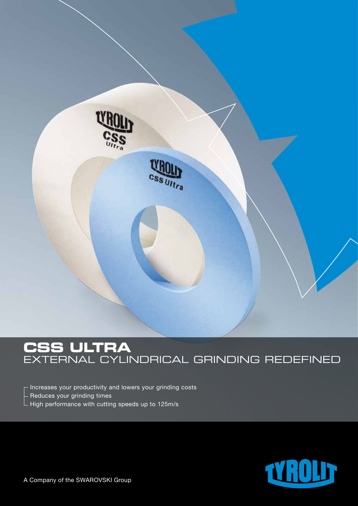

# **Css ultra** external cylindrical grinding redefined

- Increases your productivity and lowers your grinding costs - Reduces your grinding times  $\mathrel{\rule{0pt}{\rule{0pt}{0.5pt}}}\mathrel{\rule{0pt}{0.5pt}}$  High performance with cutting speeds up to 125m/s

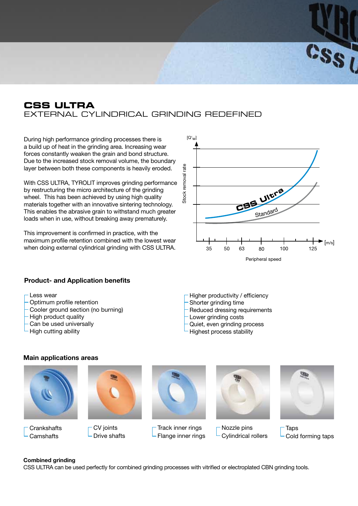## **CSS ULTRA** external cylindrical grinding redefined

During high performance grinding processes there is a build up of heat in the grinding area. Increasing wear forces constantly weaken the grain and bond structure. Due to the increased stock removal volume, the boundary layer between both these components is heavily eroded.

With CSS ULTRA, TYROLIT improves grinding performance by restructuring the micro architecture of the grinding wheel. This has been achieved by using high quality materials together with an innovative sintering technology. This enables the abrasive grain to withstand much greater loads when in use, without breaking away prematurely.

This improvement is confirmed in practice, with the maximum profile retention combined with the lowest wear when doing external cylindrical grinding with CSS ULTRA.



 $s_{s_0}$ 

### **Product- and Application benefits**

- Less wear
- Optimum profile retention
- Cooler ground section (no burning)
- High product quality
- Can be used universally

**Main applications areas**

High cutting ability

- Higher productivity / efficiency
- Shorter grinding time
- Reduced dressing requirements
- Lower grinding costs
- Quiet, even grinding process
- Highest process stability



#### **Combined grinding**

CSS ULTRA can be used perfectly for combined grinding processes with vitrified or electroplated CBN grinding tools.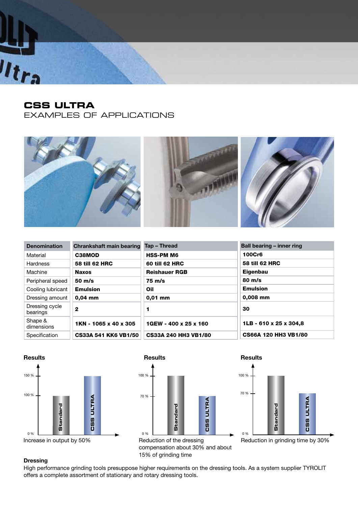

# **CSS ULTRA**

examples of applications



| <b>Denomination</b>        | <b>Chrankshaft main bearing</b> | Tap - Thread                | Ball bearing – inner ring   |
|----------------------------|---------------------------------|-----------------------------|-----------------------------|
| Material                   | C38MOD                          | <b>HSS-PM M6</b>            | <b>100Cr6</b>               |
| <b>Hardness</b>            | <b>58 till 62 HRC</b>           | 60 till 62 HRC              | <b>58 till 62 HRC</b>       |
| Machine                    | <b>Naxos</b>                    | <b>Reishauer RGB</b>        | <b>Eigenbau</b>             |
| Peripheral speed           | $50 \text{ m/s}$                | $75 \text{ m/s}$            | $80 \text{ m/s}$            |
| Cooling lubricant          | <b>Emulsion</b>                 | Oil                         | <b>Emulsion</b>             |
| Dressing amount            | $0.04$ mm                       | $0,01$ mm                   | 0,008 mm                    |
| Dressing cycle<br>bearings | $\mathbf{2}$                    | 1                           | 30                          |
| Shape &<br>dimensions      | 1KN - 1065 x 40 x 305           | 1GEW - 400 x 25 x 160       | 1LB - 610 x 25 x 304,8      |
| Specification              | <b>CS33A 541 KK6 VB1/50</b>     | <b>CS33A 240 HH3 VB1/80</b> | <b>CS66A 120 HH3 VB1/80</b> |







Reduction in grinding time by 30%

### **Dressing**

High performance grinding tools presuppose higher requirements on the dressing tools. As a system supplier TYROLIT offers a complete assortment of stationary and rotary dressing tools.